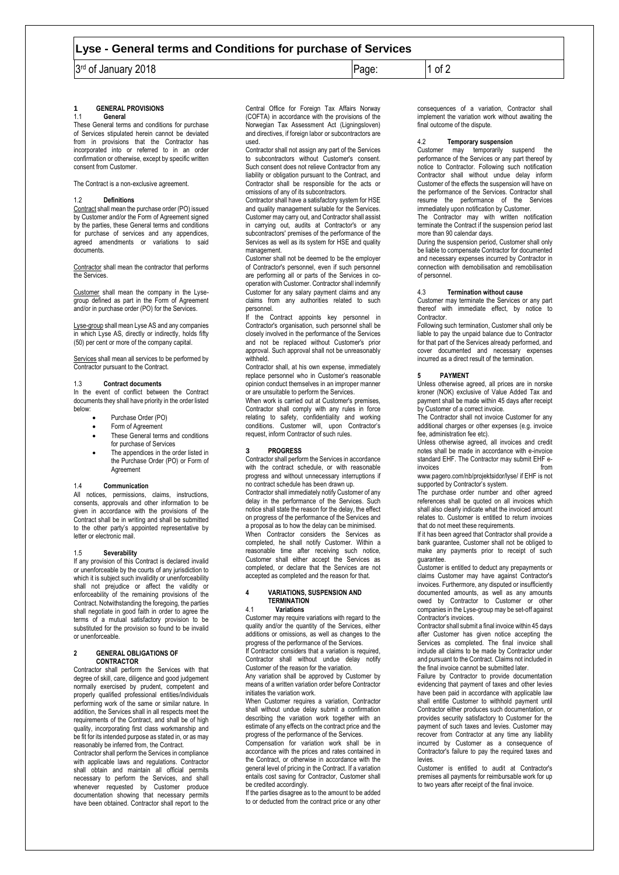## **Lyse - General terms and Conditions for purchase of Services**

3<sup>rd</sup> of January 2018 **Page:** 1 of 2

# **1 GENERAL PROVISIONS**

1.1 **General**

These General terms and conditions for purchase of Services stipulated herein cannot be deviated from in provisions that the Contractor has incorporated into or referred to in an order confirmation or otherwise, except by specific written consent from Customer.

The Contract is a non-exclusive agreement.

## 1.2 **Definitions**

Contract shall mean the purchase order (PO) issued by Customer and/or the Form of Agreement signed by the parties, these General terms and conditions for purchase of services and any appendices, agreed amendments or variations to said documents.

Contractor shall mean the contractor that performs the Services.

Customer shall mean the company in the Lysegroup defined as part in the Form of Agreement and/or in purchase order (PO) for the Services.

Lyse-group shall mean Lyse AS and any companies in which Lyse AS, directly or indirectly, holds fifty (50) per cent or more of the company capital.

Services shall mean all services to be performed by Contractor pursuant to the Contract.

## 1.3 **Contract documents**

In the event of conflict between the Contract documents they shall have priority in the order listed below:

- Purchase Order (PO)
- Form of Agreement
- These General terms and conditions for purchase of Services
- The appendices in the order listed in the Purchase Order (PO) or Form of Agreement

#### 1.4 **Communication**

All notices, permissions, claims, instructions, consents, approvals and other information to be given in accordance with the provisions of the Contract shall be in writing and shall be submitted to the other party's appointed representative by letter or electronic mail.

## 1.5 **Severability**

If any provision of this Contract is declared invalid or unenforceable by the courts of any jurisdiction to which it is subject such invalidity or unenforceability shall not prejudice or affect the validity or enforceability of the remaining provisions of the Contract. Notwithstanding the foregoing, the parties shall negotiate in good faith in order to agree the terms of a mutual satisfactory provision to be substituted for the provision so found to be invalid or unenforceable.

## **2 GENERAL OBLIGATIONS OF CONTRACTOR**

Contractor shall perform the Services with that degree of skill, care, diligence and good judgement normally exercised by prudent, competent and properly qualified professional entities/individuals performing work of the same or similar nature. In addition, the Services shall in all respects meet the requirements of the Contract, and shall be of high quality, incorporating first class workmanship and be fit for its intended purpose as stated in, or as may reasonably be inferred from, the Contract.

Contractor shall perform the Services in compliance with applicable laws and regulations. Contractor shall obtain and maintain all official permits necessary to perform the Services, and shall whenever requested by Customer produce documentation showing that necessary permits have been obtained. Contractor shall report to the

Central Office for Foreign Tax Affairs Norway (COFTA) in accordance with the provisions of the Norwegian Tax Assessment Act (Ligningsloven) and directives, if foreign labor or subcontractors are used.

Contractor shall not assign any part of the Services to subcontractors without Customer's consent. Such consent does not relieve Contractor from any liability or obligation pursuant to the Contract, and Contractor shall be responsible for the acts or omissions of any of its subcontractors.

Contractor shall have a satisfactory system for HSE and quality management suitable for the Services. Customer may carry out, and Contractor shall assist in carrying out, audits at Contractor's or any subcontractors' premises of the performance of the Services as well as its system for HSE and quality management.

Customer shall not be deemed to be the employer of Contractor's personnel, even if such personnel are performing all or parts of the Services in cooperation with Customer. Contractor shall indemnify Customer for any salary payment claims and any claims from any authorities related to such personnel.

If the Contract appoints key personnel in Contractor's organisation, such personnel shall be closely involved in the performance of the Services and not be replaced without Customer's prior approval. Such approval shall not be unreasonably withheld.

Contractor shall, at his own expense, immediately replace personnel who in Customer's reasonable opinion conduct themselves in an improper manner or are unsuitable to perform the Services.

When work is carried out at Customer's premises, Contractor shall comply with any rules in force relating to safety, confidentiality and working conditions. Customer will, upon Contractor's request, inform Contractor of such rules.

## **3 PROGRESS**

Contractor shall perform the Services in accordance with the contract schedule, or with reasonable progress and without unnecessary interruptions if no contract schedule has been drawn up.

Contractor shall immediately notify Customer of any delay in the performance of the Services. Such notice shall state the reason for the delay, the effect on progress of the performance of the Services and a proposal as to how the delay can be minimised. When Contractor considers the Services as completed, he shall notify Customer. Within a reasonable time after receiving such notice, Customer shall either accept the Services as completed, or declare that the Services are not accepted as completed and the reason for that.

#### **4 VARIATIONS, SUSPENSION AND TERMINATION** 4.1 **Variations**

Customer may require variations with regard to the quality and/or the quantity of the Services, either additions or omissions, as well as changes to the progress of the performance of the Services.

If Contractor considers that a variation is required. Contractor shall without undue delay notify Customer of the reason for the variation.

Any variation shall be approved by Customer by means of a written variation order before Contractor initiates the variation work.

When Customer requires a variation. Contractor shall without undue delay submit a confirmation describing the variation work together with an estimate of any effects on the contract price and the progress of the performance of the Services.

Compensation for variation work shall be in accordance with the prices and rates contained in the Contract, or otherwise in accordance with the general level of pricing in the Contract. If a variation entails cost saving for Contractor, Customer shall be credited accordingly.

If the parties disagree as to the amount to be added to or deducted from the contract price or any other consequences of a variation, Contractor shall implement the variation work without awaiting the final outcome of the dispute.

## 4.2 **Temporary suspension**

Customer may temporarily suspend the performance of the Services or any part thereof by notice to Contractor. Following such notification Contractor shall without undue delay inform Customer of the effects the suspension will have on the performance of the Services. Contractor shall resume the performance of the Services immediately upon notification by Customer.

The Contractor may with written notification terminate the Contract if the suspension period last more than 90 calendar days.

During the suspension period, Customer shall only be liable to compensate Contractor for documented and necessary expenses incurred by Contractor in connection with demobilisation and remobilisation of personnel.

## 4.3 **Termination without cause**

Customer may terminate the Services or any part thereof with immediate effect, by notice to **Contractor** 

Following such termination, Customer shall only be liable to pay the unpaid balance due to Contractor for that part of the Services already performed, and cover documented and necessary expenses incurred as a direct result of the termination.

#### **5 PAYMENT**

Unless otherwise agreed, all prices are in norske kroner (NOK) exclusive of Value Added Tax and payment shall be made within 45 days after receipt by Customer of a correct invoice.

The Contractor shall not invoice Customer for any additional charges or other expenses (e.g. invoice fee, administration fee etc).

Unless otherwise agreed, all invoices and credit notes shall be made in accordance with e-invoice standard EHF. The Contractor may submit EHF einvoices from

[www.pagero.com/nb/projektsidor/lyse/](http://www.pagero.com/nb/projektsidor/lyse/) if EHF is not supported by Contractor's system.

The purchase order number and other agreed references shall be quoted on all invoices which shall also clearly indicate what the invoiced amount relates to. Customer is entitled to return invoices that do not meet these requirements.

If it has been agreed that Contractor shall provide a bank guarantee, Customer shall not be obliged to make any payments prior to receipt of such guarantee.

Customer is entitled to deduct any prepayments or claims Customer may have against Contractor's invoices. Furthermore, any disputed or insufficiently documented amounts, as well as any amounts owed by Contractor to Customer or other companies in the Lyse-group may be set-off against Contractor's invoices.

Contractor shall submit a final invoice within 45 days after Customer has given notice accepting the Services as completed. The final invoice shall include all claims to be made by Contractor under and pursuant to the Contract. Claims not included in the final invoice cannot be submitted later.

Failure by Contractor to provide documentation evidencing that payment of taxes and other levies have been paid in accordance with applicable law shall entitle Customer to withhold payment until Contractor either produces such documentation, or provides security satisfactory to Customer for the payment of such taxes and levies. Customer may recover from Contractor at any time any liability incurred by Customer as a consequence of Contractor's failure to pay the required taxes and levies.

Customer is entitled to audit at Contractor's premises all payments for reimbursable work for up to two years after receipt of the final invoice.